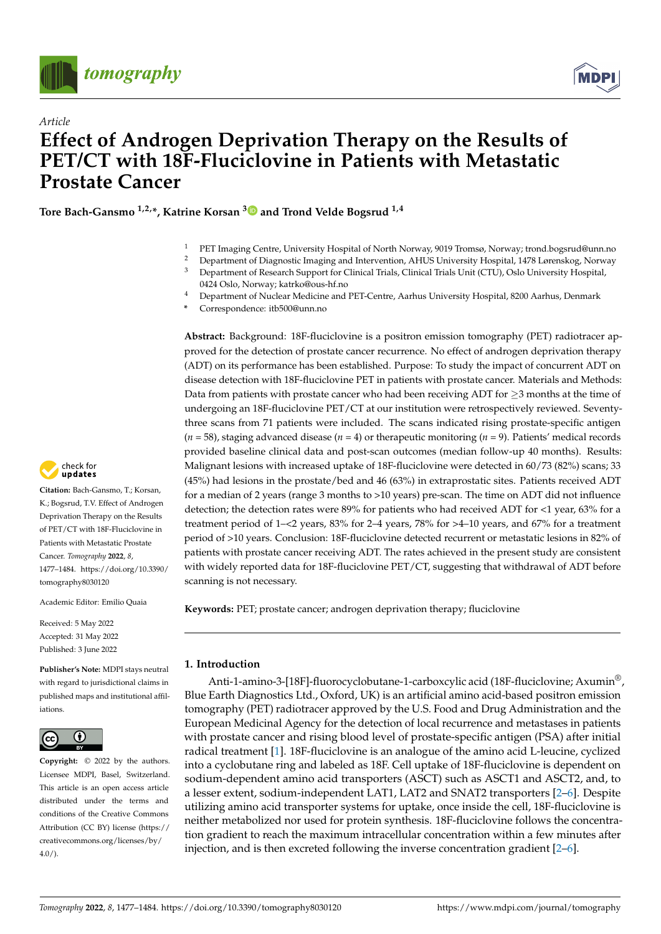



# *Article* **Effect of Androgen Deprivation Therapy on the Results of PET/CT with 18F-Fluciclovine in Patients with Metastatic Prostate Cancer**

**Tore Bach-Gansmo 1,2,\*, Katrine Korsan [3](https://orcid.org/0000-0001-9358-5404) and Trond Velde Bogsrud 1,4**

- <sup>1</sup> PET Imaging Centre, University Hospital of North Norway, 9019 Tromsø, Norway; trond.bogsrud@unn.no
- <sup>2</sup> Department of Diagnostic Imaging and Intervention, AHUS University Hospital, 1478 Lørenskog, Norway
- <sup>3</sup> Department of Research Support for Clinical Trials, Clinical Trials Unit (CTU), Oslo University Hospital, 0424 Oslo, Norway; katrko@ous-hf.no
- <sup>4</sup> Department of Nuclear Medicine and PET-Centre, Aarhus University Hospital, 8200 Aarhus, Denmark
- **\*** Correspondence: itb500@unn.no

**Abstract:** Background: 18F-fluciclovine is a positron emission tomography (PET) radiotracer approved for the detection of prostate cancer recurrence. No effect of androgen deprivation therapy (ADT) on its performance has been established. Purpose: To study the impact of concurrent ADT on disease detection with 18F-fluciclovine PET in patients with prostate cancer. Materials and Methods: Data from patients with prostate cancer who had been receiving ADT for  $\geq$ 3 months at the time of undergoing an 18F-fluciclovine PET/CT at our institution were retrospectively reviewed. Seventythree scans from 71 patients were included. The scans indicated rising prostate-specific antigen  $(n = 58)$ , staging advanced disease  $(n = 4)$  or therapeutic monitoring  $(n = 9)$ . Patients' medical records provided baseline clinical data and post-scan outcomes (median follow-up 40 months). Results: Malignant lesions with increased uptake of 18F-fluciclovine were detected in 60/73 (82%) scans; 33 (45%) had lesions in the prostate/bed and 46 (63%) in extraprostatic sites. Patients received ADT for a median of 2 years (range 3 months to >10 years) pre-scan. The time on ADT did not influence detection; the detection rates were 89% for patients who had received ADT for <1 year, 63% for a treatment period of 1–<2 years, 83% for 2–4 years, 78% for >4–10 years, and 67% for a treatment period of >10 years. Conclusion: 18F-fluciclovine detected recurrent or metastatic lesions in 82% of patients with prostate cancer receiving ADT. The rates achieved in the present study are consistent with widely reported data for 18F-fluciclovine PET/CT, suggesting that withdrawal of ADT before scanning is not necessary.

**Keywords:** PET; prostate cancer; androgen deprivation therapy; fluciclovine

## **1. Introduction**

Anti-1-amino-3-[18F]-fluorocyclobutane-1-carboxcylic acid (18F-fluciclovine; Axumin<sup>®</sup>, Blue Earth Diagnostics Ltd., Oxford, UK) is an artificial amino acid-based positron emission tomography (PET) radiotracer approved by the U.S. Food and Drug Administration and the European Medicinal Agency for the detection of local recurrence and metastases in patients with prostate cancer and rising blood level of prostate-specific antigen (PSA) after initial radical treatment [\[1\]](#page-6-0). 18F-fluciclovine is an analogue of the amino acid L-leucine, cyclized into a cyclobutane ring and labeled as 18F. Cell uptake of 18F-fluciclovine is dependent on sodium-dependent amino acid transporters (ASCT) such as ASCT1 and ASCT2, and, to a lesser extent, sodium-independent LAT1, LAT2 and SNAT2 transporters [\[2](#page-6-1)[–6\]](#page-6-2). Despite utilizing amino acid transporter systems for uptake, once inside the cell, 18F-fluciclovine is neither metabolized nor used for protein synthesis. 18F-fluciclovine follows the concentration gradient to reach the maximum intracellular concentration within a few minutes after injection, and is then excreted following the inverse concentration gradient [\[2](#page-6-1)[–6\]](#page-6-2).



**Citation:** Bach-Gansmo, T.; Korsan, K.; Bogsrud, T.V. Effect of Androgen Deprivation Therapy on the Results of PET/CT with 18F-Fluciclovine in Patients with Metastatic Prostate Cancer. *Tomography* **2022**, *8*, 1477–1484. [https://doi.org/10.3390/](https://doi.org/10.3390/tomography8030120) [tomography8030120](https://doi.org/10.3390/tomography8030120)

Academic Editor: Emilio Quaia

Received: 5 May 2022 Accepted: 31 May 2022 Published: 3 June 2022

**Publisher's Note:** MDPI stays neutral with regard to jurisdictional claims in published maps and institutional affiliations.



**Copyright:** © 2022 by the authors. Licensee MDPI, Basel, Switzerland. This article is an open access article distributed under the terms and conditions of the Creative Commons Attribution (CC BY) license [\(https://](https://creativecommons.org/licenses/by/4.0/) [creativecommons.org/licenses/by/](https://creativecommons.org/licenses/by/4.0/)  $4.0/$ ).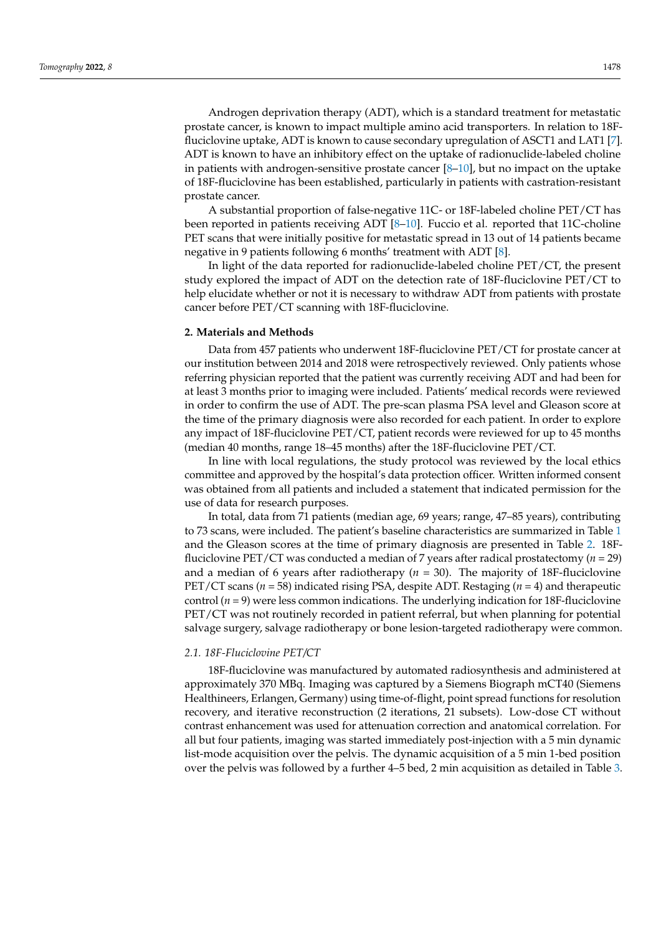Androgen deprivation therapy (ADT), which is a standard treatment for metastatic prostate cancer, is known to impact multiple amino acid transporters. In relation to 18Ffluciclovine uptake, ADT is known to cause secondary upregulation of ASCT1 and LAT1 [\[7\]](#page-6-3). ADT is known to have an inhibitory effect on the uptake of radionuclide-labeled choline in patients with androgen-sensitive prostate cancer  $[8-10]$  $[8-10]$ , but no impact on the uptake of 18F-fluciclovine has been established, particularly in patients with castration-resistant prostate cancer.

A substantial proportion of false-negative 11C- or 18F-labeled choline PET/CT has been reported in patients receiving ADT [\[8](#page-6-4)[–10\]](#page-6-5). Fuccio et al. reported that 11C-choline PET scans that were initially positive for metastatic spread in 13 out of 14 patients became negative in 9 patients following 6 months' treatment with ADT [\[8\]](#page-6-4).

In light of the data reported for radionuclide-labeled choline PET/CT, the present study explored the impact of ADT on the detection rate of 18F-fluciclovine PET/CT to help elucidate whether or not it is necessary to withdraw ADT from patients with prostate cancer before PET/CT scanning with 18F-fluciclovine.

### **2. Materials and Methods**

Data from 457 patients who underwent 18F-fluciclovine PET/CT for prostate cancer at our institution between 2014 and 2018 were retrospectively reviewed. Only patients whose referring physician reported that the patient was currently receiving ADT and had been for at least 3 months prior to imaging were included. Patients' medical records were reviewed in order to confirm the use of ADT. The pre-scan plasma PSA level and Gleason score at the time of the primary diagnosis were also recorded for each patient. In order to explore any impact of 18F-fluciclovine PET/CT, patient records were reviewed for up to 45 months (median 40 months, range 18–45 months) after the 18F-fluciclovine PET/CT.

In line with local regulations, the study protocol was reviewed by the local ethics committee and approved by the hospital's data protection officer. Written informed consent was obtained from all patients and included a statement that indicated permission for the use of data for research purposes.

In total, data from 71 patients (median age, 69 years; range, 47–85 years), contributing to 73 scans, were included. The patient's baseline characteristics are summarized in Table [1](#page-2-0) and the Gleason scores at the time of primary diagnosis are presented in Table [2.](#page-2-1) 18Ffluciclovine PET/CT was conducted a median of 7 years after radical prostatectomy (*n* = 29) and a median of 6 years after radiotherapy ( $n = 30$ ). The majority of 18F-fluciclovine PET/CT scans (*n* = 58) indicated rising PSA, despite ADT. Restaging (*n* = 4) and therapeutic control (*n* = 9) were less common indications. The underlying indication for 18F-fluciclovine PET/CT was not routinely recorded in patient referral, but when planning for potential salvage surgery, salvage radiotherapy or bone lesion-targeted radiotherapy were common.

### *2.1. 18F-Fluciclovine PET/CT*

18F-fluciclovine was manufactured by automated radiosynthesis and administered at approximately 370 MBq. Imaging was captured by a Siemens Biograph mCT40 (Siemens Healthineers, Erlangen, Germany) using time-of-flight, point spread functions for resolution recovery, and iterative reconstruction (2 iterations, 21 subsets). Low-dose CT without contrast enhancement was used for attenuation correction and anatomical correlation. For all but four patients, imaging was started immediately post-injection with a 5 min dynamic list-mode acquisition over the pelvis. The dynamic acquisition of a 5 min 1-bed position over the pelvis was followed by a further 4–5 bed, 2 min acquisition as detailed in Table [3.](#page-2-2)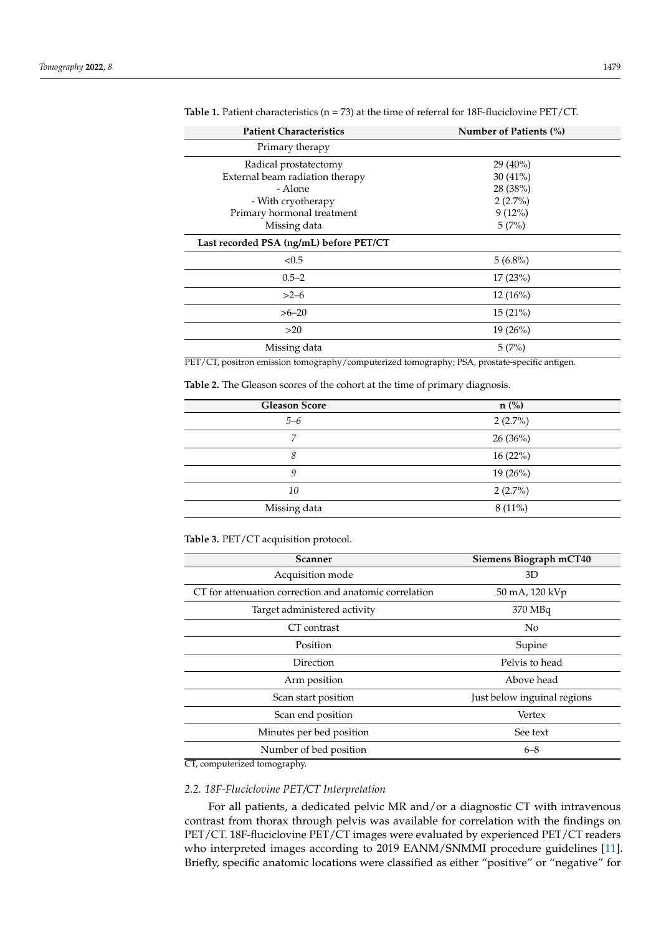| <b>Patient Characteristics</b>                                                                   | Number of Patients (%) |  |  |
|--------------------------------------------------------------------------------------------------|------------------------|--|--|
| Primary therapy                                                                                  |                        |  |  |
| Radical prostatectomy                                                                            | $29(40\%)$             |  |  |
| External beam radiation therapy                                                                  | $30(41\%)$             |  |  |
| - Alone                                                                                          | 28 (38%)               |  |  |
| - With cryotherapy                                                                               | $2(2.7\%)$             |  |  |
| Primary hormonal treatment                                                                       | $9(12\%)$              |  |  |
| Missing data                                                                                     | 5(7%)                  |  |  |
| Last recorded PSA (ng/mL) before PET/CT                                                          |                        |  |  |
| < 0.5                                                                                            | $5(6.8\%)$             |  |  |
| $0.5 - 2$                                                                                        | 17(23%)                |  |  |
| $>2-6$                                                                                           | $12(16\%)$             |  |  |
| $>6 - 20$                                                                                        | 15(21%)                |  |  |
| >20                                                                                              | $19(26\%)$             |  |  |
| Missing data                                                                                     | 5(7%)                  |  |  |
| $DET/CT$ mostly on emission tomography (commissional tomography) $DCA$ mysolote specific ontigon |                        |  |  |

<span id="page-2-0"></span>**Table 1.** Patient characteristics (n = 73) at the time of referral for 18F-fluciclovine PET/CT.

PET/CT, positron emission tomography/computerized tomography; PSA, prostate-specific antigen.

<span id="page-2-1"></span>**Table 2.** The Gleason scores of the cohort at the time of primary diagnosis.

| <b>Gleason Score</b> | $n$ (%)    |
|----------------------|------------|
| $5 - 6$              | $2(2.7\%)$ |
| 7                    | 26(36%)    |
| 8                    | 16(22%)    |
| 9                    | $19(26\%)$ |
| 10                   | $2(2.7\%)$ |
| Missing data         | $8(11\%)$  |
|                      |            |

<span id="page-2-2"></span>**Table 3.** PET/CT acquisition protocol.

| Scanner                                                | Siemens Biograph mCT40 |  |
|--------------------------------------------------------|------------------------|--|
| Acquisition mode                                       | 3D                     |  |
| CT for attenuation correction and anatomic correlation | 50 mA, 120 kVp         |  |
| Target administered activity                           | 370 MBq                |  |
| CT contrast                                            | No.                    |  |
| Position                                               | Supine                 |  |
| Direction                                              | Pelvis to head         |  |
| Arm position                                           | Above head             |  |
| Just below inguinal regions<br>Scan start position     |                        |  |
| Scan end position                                      | Vertex                 |  |
| Minutes per bed position                               | See text               |  |
| Number of bed position                                 | $6 - 8$                |  |

CT, computerized tomography.

# *2.2. 18F-Fluciclovine PET/CT Interpretation*

For all patients, a dedicated pelvic MR and/or a diagnostic CT with intravenous contrast from thorax through pelvis was available for correlation with the findings on PET/CT. 18F-fluciclovine PET/CT images were evaluated by experienced PET/CT readers who interpreted images according to 2019 EANM/SNMMI procedure guidelines [\[11\]](#page-6-6). Briefly, specific anatomic locations were classified as either "positive" or "negative" for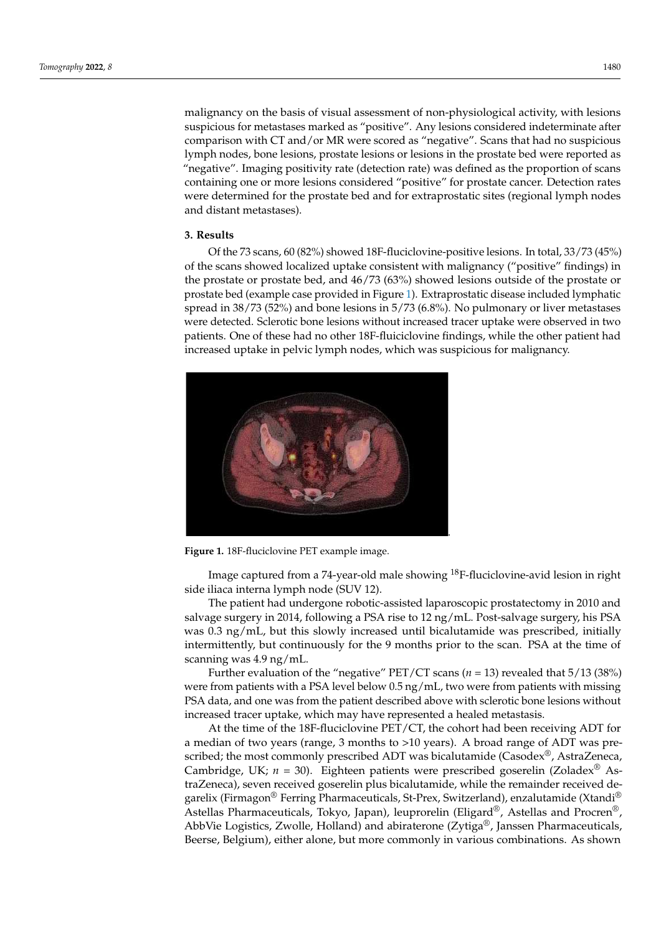malignancy on the basis of visual assessment of non-physiological activity, with lesions suspicious for metastases marked as "positive". Any lesions considered indeterminate after comparison with CT and/or MR were scored as "negative". Scans that had no suspicious lymph nodes, bone lesions, prostate lesions or lesions in the prostate bed were reported as "negative". Imaging positivity rate (detection rate) was defined as the proportion of scans containing one or more lesions considered "positive" for prostate cancer. Detection rates were determined for the prostate bed and for extraprostatic sites (regional lymph nodes and distant metastases).  $\overline{\phantom{a}}$ 

# **3. Results 3. Results**

Of the 73 scans, 60 (82%) showed 18F-fluciclovine-positive lesions. In total, 33/73 (45%) Of the 73 scans, 60 (82%) showed 18F-fluciclovine-positive lesions. In total, 33/73 of the scans showed localized uptake consistent with malignancy ("positive" findings) in the prostate or prostate bed, and  $46/73 (63%)$  showed lesions outside of the prostate or the prostate or prostate sea, and to, is (essi) showed reserve stasted or the prostate or prostate or prostate or prostate or prostate bed (example case provided in Figure [1\)](#page-3-0). Extraprostatic disease included lymphatic prosulte bed (bulliple case provided in Figure 1). Exhapped all alsease included tymphatic spread in 38/73 (52%) and bone lesions in 5/73 (6.8%). No pulmonary or liver metastases were detected. Sclerotic bone lesions without increased tracer uptake were observed in two patients. patients. One of these had no other 18F-fluiciclovine findings, while the other patient had increased uptake in pelvic lymph nodes, which was suspicious for malignancy. lignancy.  $m_{\text{tot}}$  metastases were detected. Schering tracer up to  $(0.0, 0)$ . The parameter  $y$  of the metastased tracer up

<span id="page-3-0"></span>

**Figure 1.** <sup>18</sup>F-fluciclovine PET example image. **Figure 1.** 18F-fluciclovine PET example image.

Image captured from a 74-year-old male showing <sup>18</sup>F-fluciclovine-avid lesion in right side iliaca interna lymph node (SUV 12). side iliaca interna lymph node (SUV 12).

The patient had undergone robotic-assisted laparoscopic prostatectomy in 2010 and The patient had undergone robotic-assisted laparoscopic prostatectomy in 2010 and salvage surgery in 2014, following a PSA rise to 12 ng/mL. Post-salvage surgery, his PSA salvage surgery in 2014, following a PSA rise to 12 ng/mL. Post-salvage surgery, his PSA was 0.3 ng/mL, but this slowly increased until bicalutamide was prescribed, initially intermittently, but continuously for the 9 months prior to the scan. PSA at the time of scanning was 4.9 ng/mL.

Further evaluation of the "negative" PET/CT scans (*n* = 13) revealed that 5/13 (38%) Further evaluation of the "negative" PET/CT scans (*n* = 13) revealed that 5/13 (38%) were from patients with a PSA level below 0.5 ng/mL, two were from patients with missing PSA data, and one was from the patient described above with sclerotic bone lesions without increased tracer uptake, which may have represented a healed metastasis.

At the time of the 18F-fluciclovine PET/CT, the cohort had been receiving ADT for a median of two years (range, 3 months to >10 years). A broad range of ADT was prescribed; the most commonly prescribed ADT was bicalutamide (Casodex®, AstraZeneca, bridge, UK; *n* = 30). Eighteen patients were prescribed goserelin (Zoladex® AstraZeneca), Cambridge, UK; *n* = 30). Eighteen patients were prescribed goserelin (Zoladex® Asedificulture content of the content of the remainder of the remainder received de-<br>traZeneca), seven received goserelin plus bicalutamide, while the remainder received demazeutical, seven received gosereum phas biennamide, Strike inclinione receive garelix (Firmagon® Ferring Pharmaceuticals, St-Prex, Switzerland), enzalutamide (Xtandi®<br>Abbr<sup>orel</sup>ix Cliente Pharmaceuticals, St-Prex, Switzerland), enzalutamide (Xtandi® Astellas Pharmaceuticals, Tokyo, Japan), leuprorelin (Eligard®, Astellas and Procren®, AbbVie Logistics, Zwolle, Holland) and abiraterone (Zytiga®, Janssen Pharmaceuticals, Beerse, Belgium), either alone, but more commonly in various combinations. As shown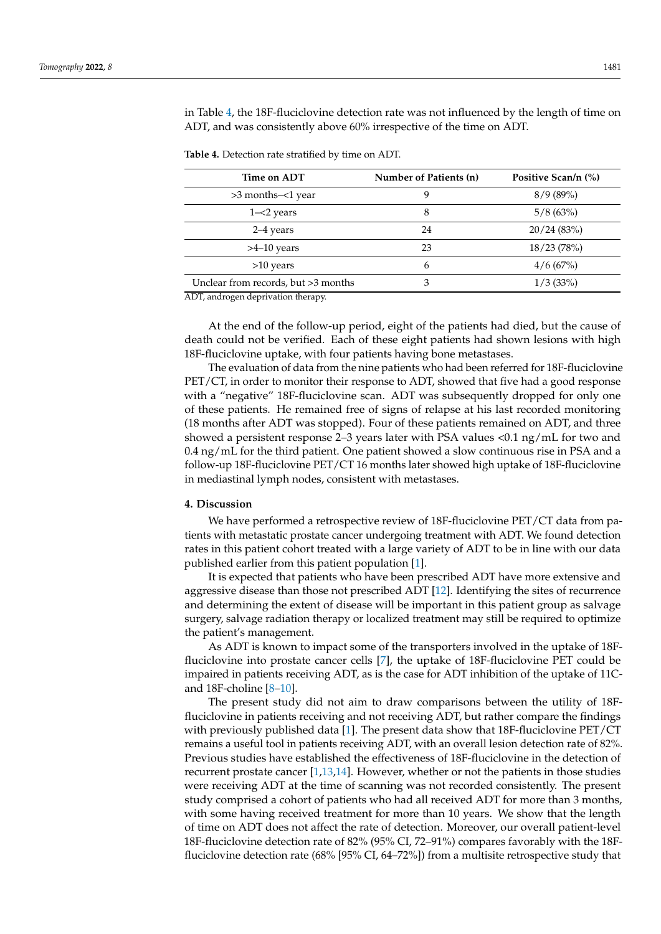in Table [4,](#page-4-0) the 18F-fluciclovine detection rate was not influenced by the length of time on ADT, and was consistently above 60% irrespective of the time on ADT.

| Time on ADT                         | Number of Patients (n) | Positive Scan/n (%) |
|-------------------------------------|------------------------|---------------------|
| >3 months-<1 year                   | 9                      | 8/9(89%)            |
| $1 - 2$ years                       | 8                      | 5/8(63%)            |
| 2–4 years                           | 24                     | 20/24(83%)          |
| $>4-10$ years                       | 23                     | 18/23(78%)          |
| $>10$ years                         | 6                      | 4/6(67%)            |
| Unclear from records, but >3 months | 3                      | 1/3(33%)            |

<span id="page-4-0"></span>**Table 4.** Detection rate stratified by time on ADT.

ADT, androgen deprivation therapy.

At the end of the follow-up period, eight of the patients had died, but the cause of death could not be verified. Each of these eight patients had shown lesions with high 18F-fluciclovine uptake, with four patients having bone metastases.

The evaluation of data from the nine patients who had been referred for 18F-fluciclovine PET/CT, in order to monitor their response to ADT, showed that five had a good response with a "negative" 18F-fluciclovine scan. ADT was subsequently dropped for only one of these patients. He remained free of signs of relapse at his last recorded monitoring (18 months after ADT was stopped). Four of these patients remained on ADT, and three showed a persistent response 2–3 years later with PSA values <0.1 ng/mL for two and 0.4 ng/mL for the third patient. One patient showed a slow continuous rise in PSA and a follow-up 18F-fluciclovine PET/CT 16 months later showed high uptake of 18F-fluciclovine in mediastinal lymph nodes, consistent with metastases.

#### **4. Discussion**

We have performed a retrospective review of 18F-fluciclovine PET/CT data from patients with metastatic prostate cancer undergoing treatment with ADT. We found detection rates in this patient cohort treated with a large variety of ADT to be in line with our data published earlier from this patient population [\[1\]](#page-6-0).

It is expected that patients who have been prescribed ADT have more extensive and aggressive disease than those not prescribed ADT [\[12\]](#page-6-7). Identifying the sites of recurrence and determining the extent of disease will be important in this patient group as salvage surgery, salvage radiation therapy or localized treatment may still be required to optimize the patient's management.

As ADT is known to impact some of the transporters involved in the uptake of 18Ffluciclovine into prostate cancer cells [\[7\]](#page-6-3), the uptake of 18F-fluciclovine PET could be impaired in patients receiving ADT, as is the case for ADT inhibition of the uptake of 11Cand 18F-choline [\[8](#page-6-4)[–10\]](#page-6-5).

The present study did not aim to draw comparisons between the utility of 18Ffluciclovine in patients receiving and not receiving ADT, but rather compare the findings with previously published data [\[1\]](#page-6-0). The present data show that 18F-fluciclovine PET/CT remains a useful tool in patients receiving ADT, with an overall lesion detection rate of 82%. Previous studies have established the effectiveness of 18F-fluciclovine in the detection of recurrent prostate cancer [\[1,](#page-6-0)[13,](#page-6-8)[14\]](#page-6-9). However, whether or not the patients in those studies were receiving ADT at the time of scanning was not recorded consistently. The present study comprised a cohort of patients who had all received ADT for more than 3 months, with some having received treatment for more than 10 years. We show that the length of time on ADT does not affect the rate of detection. Moreover, our overall patient-level 18F-fluciclovine detection rate of 82% (95% CI, 72–91%) compares favorably with the 18Ffluciclovine detection rate (68% [95% CI, 64–72%]) from a multisite retrospective study that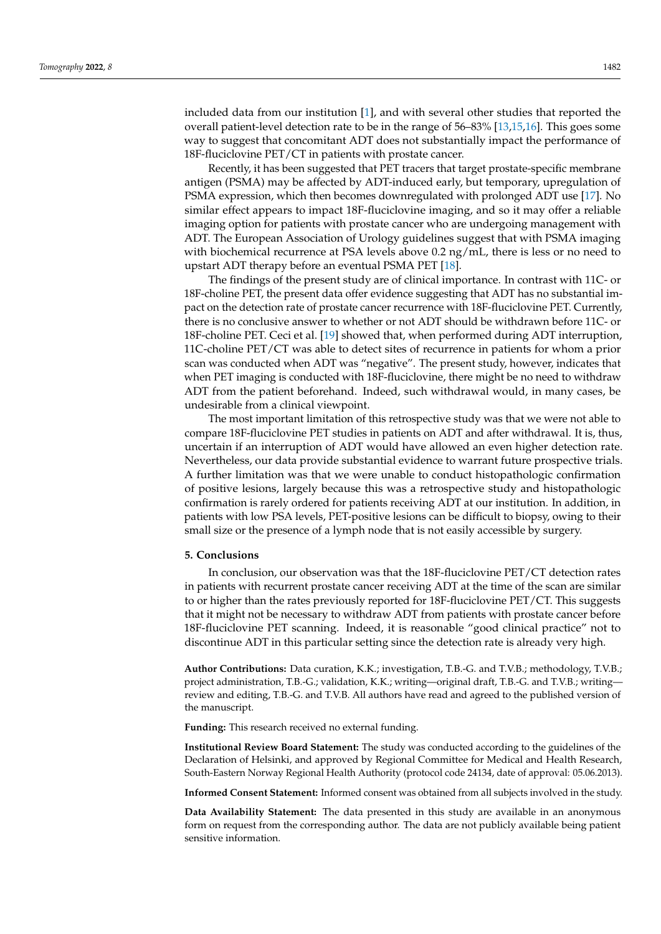included data from our institution [\[1\]](#page-6-0), and with several other studies that reported the overall patient-level detection rate to be in the range of 56–83% [\[13](#page-6-8)[,15](#page-6-10)[,16\]](#page-6-11). This goes some way to suggest that concomitant ADT does not substantially impact the performance of 18F-fluciclovine PET/CT in patients with prostate cancer.

Recently, it has been suggested that PET tracers that target prostate-specific membrane antigen (PSMA) may be affected by ADT-induced early, but temporary, upregulation of PSMA expression, which then becomes downregulated with prolonged ADT use [\[17\]](#page-6-12). No similar effect appears to impact 18F-fluciclovine imaging, and so it may offer a reliable imaging option for patients with prostate cancer who are undergoing management with ADT. The European Association of Urology guidelines suggest that with PSMA imaging with biochemical recurrence at PSA levels above 0.2 ng/mL, there is less or no need to upstart ADT therapy before an eventual PSMA PET [\[18\]](#page-7-0).

The findings of the present study are of clinical importance. In contrast with 11C- or 18F-choline PET, the present data offer evidence suggesting that ADT has no substantial impact on the detection rate of prostate cancer recurrence with 18F-fluciclovine PET. Currently, there is no conclusive answer to whether or not ADT should be withdrawn before 11C- or 18F-choline PET. Ceci et al. [\[19\]](#page-7-1) showed that, when performed during ADT interruption, 11C-choline PET/CT was able to detect sites of recurrence in patients for whom a prior scan was conducted when ADT was "negative". The present study, however, indicates that when PET imaging is conducted with 18F-fluciclovine, there might be no need to withdraw ADT from the patient beforehand. Indeed, such withdrawal would, in many cases, be undesirable from a clinical viewpoint.

The most important limitation of this retrospective study was that we were not able to compare 18F-fluciclovine PET studies in patients on ADT and after withdrawal. It is, thus, uncertain if an interruption of ADT would have allowed an even higher detection rate. Nevertheless, our data provide substantial evidence to warrant future prospective trials. A further limitation was that we were unable to conduct histopathologic confirmation of positive lesions, largely because this was a retrospective study and histopathologic confirmation is rarely ordered for patients receiving ADT at our institution. In addition, in patients with low PSA levels, PET-positive lesions can be difficult to biopsy, owing to their small size or the presence of a lymph node that is not easily accessible by surgery.

# **5. Conclusions**

In conclusion, our observation was that the 18F-fluciclovine PET/CT detection rates in patients with recurrent prostate cancer receiving ADT at the time of the scan are similar to or higher than the rates previously reported for 18F-fluciclovine PET/CT. This suggests that it might not be necessary to withdraw ADT from patients with prostate cancer before 18F-fluciclovine PET scanning. Indeed, it is reasonable "good clinical practice" not to discontinue ADT in this particular setting since the detection rate is already very high.

**Author Contributions:** Data curation, K.K.; investigation, T.B.-G. and T.V.B.; methodology, T.V.B.; project administration, T.B.-G.; validation, K.K.; writing—original draft, T.B.-G. and T.V.B.; writing review and editing, T.B.-G. and T.V.B. All authors have read and agreed to the published version of the manuscript.

**Funding:** This research received no external funding.

**Institutional Review Board Statement:** The study was conducted according to the guidelines of the Declaration of Helsinki, and approved by Regional Committee for Medical and Health Research, South-Eastern Norway Regional Health Authority (protocol code 24134, date of approval: 05.06.2013).

**Informed Consent Statement:** Informed consent was obtained from all subjects involved in the study.

**Data Availability Statement:** The data presented in this study are available in an anonymous form on request from the corresponding author. The data are not publicly available being patient sensitive information.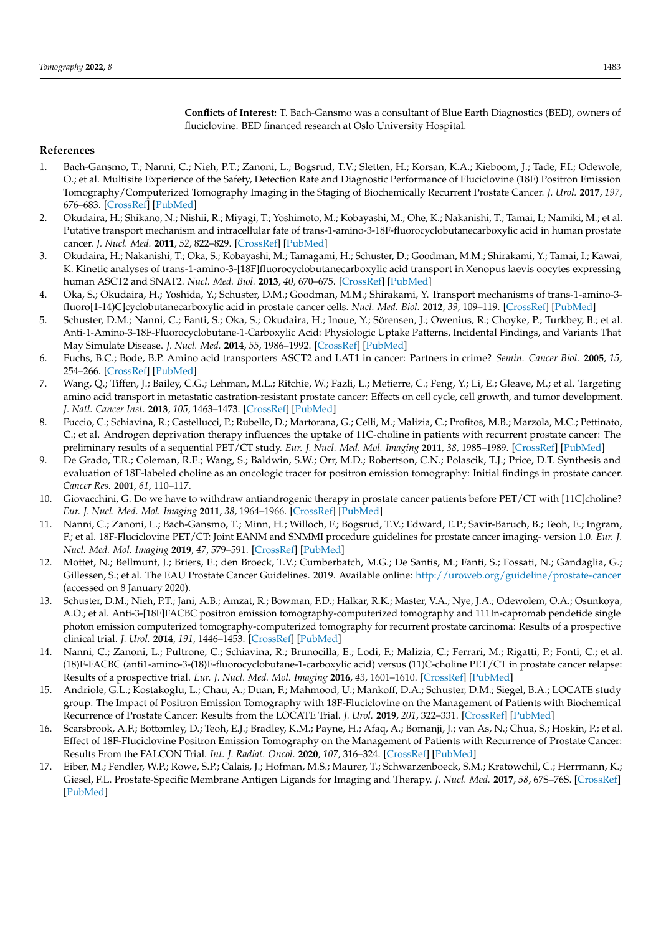**Conflicts of Interest:** T. Bach-Gansmo was a consultant of Blue Earth Diagnostics (BED), owners of fluciclovine. BED financed research at Oslo University Hospital.

### **References**

- <span id="page-6-0"></span>1. Bach-Gansmo, T.; Nanni, C.; Nieh, P.T.; Zanoni, L.; Bogsrud, T.V.; Sletten, H.; Korsan, K.A.; Kieboom, J.; Tade, F.I.; Odewole, O.; et al. Multisite Experience of the Safety, Detection Rate and Diagnostic Performance of Fluciclovine (18F) Positron Emission Tomography/Computerized Tomography Imaging in the Staging of Biochemically Recurrent Prostate Cancer. *J. Urol.* **2017**, *197*, 676–683. [\[CrossRef\]](http://doi.org/10.1016/j.juro.2016.09.117) [\[PubMed\]](http://www.ncbi.nlm.nih.gov/pubmed/27746282)
- <span id="page-6-1"></span>2. Okudaira, H.; Shikano, N.; Nishii, R.; Miyagi, T.; Yoshimoto, M.; Kobayashi, M.; Ohe, K.; Nakanishi, T.; Tamai, I.; Namiki, M.; et al. Putative transport mechanism and intracellular fate of trans-1-amino-3-18F-fluorocyclobutanecarboxylic acid in human prostate cancer. *J. Nucl. Med.* **2011**, *52*, 822–829. [\[CrossRef\]](http://doi.org/10.2967/jnumed.110.086074) [\[PubMed\]](http://www.ncbi.nlm.nih.gov/pubmed/21536930)
- 3. Okudaira, H.; Nakanishi, T.; Oka, S.; Kobayashi, M.; Tamagami, H.; Schuster, D.; Goodman, M.M.; Shirakami, Y.; Tamai, I.; Kawai, K. Kinetic analyses of trans-1-amino-3-[18F]fluorocyclobutanecarboxylic acid transport in Xenopus laevis oocytes expressing human ASCT2 and SNAT2. *Nucl. Med. Biol.* **2013**, *40*, 670–675. [\[CrossRef\]](http://doi.org/10.1016/j.nucmedbio.2013.03.009) [\[PubMed\]](http://www.ncbi.nlm.nih.gov/pubmed/23647854)
- 4. Oka, S.; Okudaira, H.; Yoshida, Y.; Schuster, D.M.; Goodman, M.M.; Shirakami, Y. Transport mechanisms of trans-1-amino-3 fluoro[1-14)C]cyclobutanecarboxylic acid in prostate cancer cells. *Nucl. Med. Biol.* **2012**, *39*, 109–119. [\[CrossRef\]](http://doi.org/10.1016/j.nucmedbio.2011.06.008) [\[PubMed\]](http://www.ncbi.nlm.nih.gov/pubmed/21958853)
- 5. Schuster, D.M.; Nanni, C.; Fanti, S.; Oka, S.; Okudaira, H.; Inoue, Y.; Sörensen, J.; Owenius, R.; Choyke, P.; Turkbey, B.; et al. Anti-1-Amino-3-18F-Fluorocyclobutane-1-Carboxylic Acid: Physiologic Uptake Patterns, Incidental Findings, and Variants That May Simulate Disease. *J. Nucl. Med.* **2014**, *55*, 1986–1992. [\[CrossRef\]](http://doi.org/10.2967/jnumed.114.143628) [\[PubMed\]](http://www.ncbi.nlm.nih.gov/pubmed/25453047)
- <span id="page-6-2"></span>6. Fuchs, B.C.; Bode, B.P. Amino acid transporters ASCT2 and LAT1 in cancer: Partners in crime? *Semin. Cancer Biol.* **2005**, *15*, 254–266. [\[CrossRef\]](http://doi.org/10.1016/j.semcancer.2005.04.005) [\[PubMed\]](http://www.ncbi.nlm.nih.gov/pubmed/15916903)
- <span id="page-6-3"></span>7. Wang, Q.; Tiffen, J.; Bailey, C.G.; Lehman, M.L.; Ritchie, W.; Fazli, L.; Metierre, C.; Feng, Y.; Li, E.; Gleave, M.; et al. Targeting amino acid transport in metastatic castration-resistant prostate cancer: Effects on cell cycle, cell growth, and tumor development. *J. Natl. Cancer Inst.* **2013**, *105*, 1463–1473. [\[CrossRef\]](http://doi.org/10.1093/jnci/djt241) [\[PubMed\]](http://www.ncbi.nlm.nih.gov/pubmed/24052624)
- <span id="page-6-4"></span>8. Fuccio, C.; Schiavina, R.; Castellucci, P.; Rubello, D.; Martorana, G.; Celli, M.; Malizia, C.; Profitos, M.B.; Marzola, M.C.; Pettinato, C.; et al. Androgen deprivation therapy influences the uptake of 11C-choline in patients with recurrent prostate cancer: The preliminary results of a sequential PET/CT study. *Eur. J. Nucl. Med. Mol. Imaging* **2011**, *38*, 1985–1989. [\[CrossRef\]](http://doi.org/10.1007/s00259-011-1867-0) [\[PubMed\]](http://www.ncbi.nlm.nih.gov/pubmed/21732105)
- 9. De Grado, T.R.; Coleman, R.E.; Wang, S.; Baldwin, S.W.; Orr, M.D.; Robertson, C.N.; Polascik, T.J.; Price, D.T. Synthesis and evaluation of 18F-labeled choline as an oncologic tracer for positron emission tomography: Initial findings in prostate cancer. *Cancer Res.* **2001**, *61*, 110–117.
- <span id="page-6-5"></span>10. Giovacchini, G. Do we have to withdraw antiandrogenic therapy in prostate cancer patients before PET/CT with [11C]choline? *Eur. J. Nucl. Med. Mol. Imaging* **2011**, *38*, 1964–1966. [\[CrossRef\]](http://doi.org/10.1007/s00259-011-1926-6) [\[PubMed\]](http://www.ncbi.nlm.nih.gov/pubmed/21901380)
- <span id="page-6-6"></span>11. Nanni, C.; Zanoni, L.; Bach-Gansmo, T.; Minn, H.; Willoch, F.; Bogsrud, T.V.; Edward, E.P.; Savir-Baruch, B.; Teoh, E.; Ingram, F.; et al. 18F-Fluciclovine PET/CT: Joint EANM and SNMMI procedure guidelines for prostate cancer imaging- version 1.0. *Eur. J. Nucl. Med. Mol. Imaging* **2019**, *47*, 579–591. [\[CrossRef\]](http://doi.org/10.1007/s00259-019-04614-y) [\[PubMed\]](http://www.ncbi.nlm.nih.gov/pubmed/31822959)
- <span id="page-6-7"></span>12. Mottet, N.; Bellmunt, J.; Briers, E.; den Broeck, T.V.; Cumberbatch, M.G.; De Santis, M.; Fanti, S.; Fossati, N.; Gandaglia, G.; Gillessen, S.; et al. The EAU Prostate Cancer Guidelines. 2019. Available online: <http://uroweb.org/guideline/prostate-cancer> (accessed on 8 January 2020).
- <span id="page-6-8"></span>13. Schuster, D.M.; Nieh, P.T.; Jani, A.B.; Amzat, R.; Bowman, F.D.; Halkar, R.K.; Master, V.A.; Nye, J.A.; Odewolem, O.A.; Osunkoya, A.O.; et al. Anti-3-[18F]FACBC positron emission tomography-computerized tomography and 111In-capromab pendetide single photon emission computerized tomography-computerized tomography for recurrent prostate carcinoma: Results of a prospective clinical trial. *J. Urol.* **2014**, *191*, 1446–1453. [\[CrossRef\]](http://doi.org/10.1016/j.juro.2013.10.065) [\[PubMed\]](http://www.ncbi.nlm.nih.gov/pubmed/24144687)
- <span id="page-6-9"></span>14. Nanni, C.; Zanoni, L.; Pultrone, C.; Schiavina, R.; Brunocilla, E.; Lodi, F.; Malizia, C.; Ferrari, M.; Rigatti, P.; Fonti, C.; et al. (18)F-FACBC (anti1-amino-3-(18)F-fluorocyclobutane-1-carboxylic acid) versus (11)C-choline PET/CT in prostate cancer relapse: Results of a prospective trial. *Eur. J. Nucl. Med. Mol. Imaging* **2016**, *43*, 1601–1610. [\[CrossRef\]](http://doi.org/10.1007/s00259-016-3329-1) [\[PubMed\]](http://www.ncbi.nlm.nih.gov/pubmed/26960562)
- <span id="page-6-10"></span>15. Andriole, G.L.; Kostakoglu, L.; Chau, A.; Duan, F.; Mahmood, U.; Mankoff, D.A.; Schuster, D.M.; Siegel, B.A.; LOCATE study group. The Impact of Positron Emission Tomography with 18F-Fluciclovine on the Management of Patients with Biochemical Recurrence of Prostate Cancer: Results from the LOCATE Trial. *J. Urol.* **2019**, *201*, 322–331. [\[CrossRef\]](http://doi.org/10.1016/j.juro.2018.08.050) [\[PubMed\]](http://www.ncbi.nlm.nih.gov/pubmed/30179618)
- <span id="page-6-11"></span>16. Scarsbrook, A.F.; Bottomley, D.; Teoh, E.J.; Bradley, K.M.; Payne, H.; Afaq, A.; Bomanji, J.; van As, N.; Chua, S.; Hoskin, P.; et al. Effect of 18F-Fluciclovine Positron Emission Tomography on the Management of Patients with Recurrence of Prostate Cancer: Results From the FALCON Trial. *Int. J. Radiat. Oncol.* **2020**, *107*, 316–324. [\[CrossRef\]](http://doi.org/10.1016/j.ijrobp.2020.01.050) [\[PubMed\]](http://www.ncbi.nlm.nih.gov/pubmed/32068113)
- <span id="page-6-12"></span>17. Eiber, M.; Fendler, W.P.; Rowe, S.P.; Calais, J.; Hofman, M.S.; Maurer, T.; Schwarzenboeck, S.M.; Kratowchil, C.; Herrmann, K.; Giesel, F.L. Prostate-Specific Membrane Antigen Ligands for Imaging and Therapy. *J. Nucl. Med.* **2017**, *58*, 67S–76S. [\[CrossRef\]](http://doi.org/10.2967/jnumed.116.186767) [\[PubMed\]](http://www.ncbi.nlm.nih.gov/pubmed/28864615)